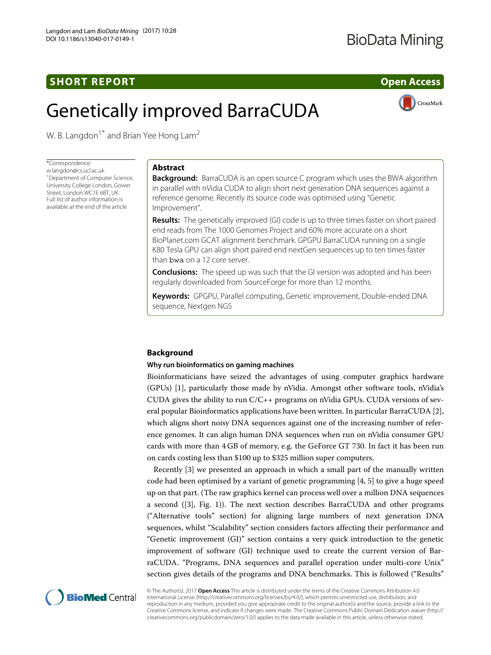## **SHORT REPORT Open Access**

## **BioData Mining**

# Genetically improved BarraCUDA



W. B. Langdon<sup>1\*</sup> and Brian Yee Hong Lam<sup>2</sup>

\*Correspondence: [w.langdon@cs.ucl.ac.uk](mailto: w.langdon@cs.ucl.ac.uk)

<sup>1</sup>Department of Computer Science, University College London, Gower Street, London WC1E 6BT, UK Full list of author information is available at the end of the article

## **Abstract**

**Background:** BarraCUDA is an open source C program which uses the BWA algorithm in parallel with nVidia CUDA to align short next generation DNA sequences against a reference genome. Recently its source code was optimised using "Genetic Improvement".

**Results:** The genetically improved (GI) code is up to three times faster on short paired end reads from The 1000 Genomes Project and 60% more accurate on a short BioPlanet.com GCAT alignment benchmark. GPGPU BarraCUDA running on a single K80 Tesla GPU can align short paired end nextGen sequences up to ten times faster than bwa on a 12 core server.

**Conclusions:** The speed up was such that the GI version was adopted and has been regularly downloaded from SourceForge for more than 12 months.

**Keywords:** GPGPU, Parallel computing, Genetic improvement, Double-ended DNA sequence, Nextgen NGS

## **Background**

## **Why run bioinformatics on gaming machines**

Bioinformaticians have seized the advantages of using computer graphics hardware (GPUs) [\[1\]](#page-8-0), particularly those made by nVidia. Amongst other software tools, nVidia's CUDA gives the ability to run C/C++ programs on nVidia GPUs. CUDA versions of several popular Bioinformatics applications have been written. In particular BarraCUDA [\[2\]](#page-8-1), which aligns short noisy DNA sequences against one of the increasing number of reference genomes. It can align human DNA sequences when run on nVidia consumer GPU cards with more than 4 GB of memory, e.g. the GeForce GT 730. In fact it has been run on cards costing less than \$100 up to \$325 million super computers.

Recently [\[3\]](#page-8-2) we presented an approach in which a small part of the manually written code had been optimised by a variant of genetic programming [\[4,](#page-9-0) [5\]](#page-9-1) to give a huge speed up on that part. (The raw graphics kernel can process well over a million DNA sequences a second ([\[3\]](#page-8-2), Fig. 1)). The next section describes BarraCUDA and other programs (["Alternative tools"](#page-1-0) section) for aligning large numbers of next generation DNA sequences, whilst ["Scalability"](#page-2-0) section considers factors affecting their performance and ["Genetic improvement \(GI\)"](#page-3-0) section contains a very quick introduction to the genetic improvement of software (GI) technique used to create the current version of BarraCUDA. ["Programs, DNA sequences and parallel operation under multi-core Unix"](#page-4-0) section gives details of the programs and DNA benchmarks. This is followed (["Results"](#page-5-0)



© The Author(s). 2017 **Open Access** This article is distributed under the terms of the Creative Commons Attribution 4.0 International License [\(http://creativecommons.org/licenses/by/4.0/\)](http://creativecommons.org/licenses/by/4.0/), which permits unrestricted use, distribution, and reproduction in any medium, provided you give appropriate credit to the original author(s) and the source, provide a link to the Creative Commons license, and indicate if changes were made. The Creative Commons Public Domain Dedication waiver [\(http://](http://creativecommons.org/publicdomain/zero/1.0/) [creativecommons.org/publicdomain/zero/1.0/\)](http://creativecommons.org/publicdomain/zero/1.0/) applies to the data made available in this article, unless otherwise stated.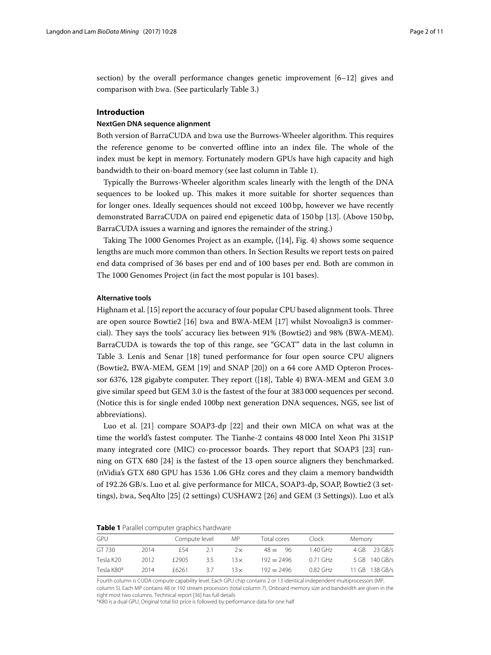section) by the overall performance changes genetic improvement [\[6–](#page-9-2)[12\]](#page-9-3) gives and comparison with bwa. (See particularly Table [3.](#page-7-0))

## **Introduction**

## **NextGen DNA sequence alignment**

Both version of BarraCUDA and bwa use the Burrows-Wheeler algorithm. This requires the reference genome to be converted offline into an index file. The whole of the index must be kept in memory. Fortunately modern GPUs have high capacity and high bandwidth to their on-board memory (see last column in Table [1\)](#page-1-1).

Typically the Burrows-Wheeler algorithm scales linearly with the length of the DNA sequences to be looked up. This makes it more suitable for shorter sequences than for longer ones. Ideally sequences should not exceed 100 bp, however we have recently demonstrated BarraCUDA on paired end epigenetic data of 150 bp [\[13\]](#page-9-4). (Above 150 bp, BarraCUDA issues a warning and ignores the remainder of the string.)

Taking The 1000 Genomes Project as an example, ([\[14\]](#page-9-5), Fig. 4) shows some sequence lengths are much more common than others. In Section [Results](#page-5-0) we report tests on paired end data comprised of 36 bases per end and of 100 bases per end. Both are common in The 1000 Genomes Project (in fact the most popular is 101 bases).

#### <span id="page-1-0"></span>**Alternative tools**

Highnam et al. [\[15\]](#page-9-6) report the accuracy of four popular CPU based alignment tools. Three are open source Bowtie2 [\[16\]](#page-9-7) bwa and BWA-MEM [\[17\]](#page-9-8) whilst Novoalign3 is commercial). They says the tools' accuracy lies between 91% (Bowtie2) and 98% (BWA-MEM). BarraCUDA is towards the top of this range, see "GCAT" data in the last column in Table [3.](#page-7-0) Lenis and Senar [\[18\]](#page-9-9) tuned performance for four open source CPU aligners (Bowtie2, BWA-MEM, GEM [\[19\]](#page-9-10) and SNAP [\[20\]](#page-9-11)) on a 64 core AMD Opteron Processor 6376, 128 gigabyte computer. They report ([\[18\]](#page-9-9), Table 4) BWA-MEM and GEM 3.0 give similar speed but GEM 3.0 is the fastest of the four at 383 000 sequences per second. (Notice this is for single ended 100bp next generation DNA sequences, NGS, see list of abbreviations).

Luo et al. [\[21\]](#page-9-12) compare SOAP3-dp [\[22\]](#page-9-13) and their own MICA on what was at the time the world's fastest computer. The Tianhe-2 contains 48 000 Intel Xeon Phi 31S1P many integrated core (MIC) co-processor boards. They report that SOAP3 [\[23\]](#page-9-14) running on GTX 680 [\[24\]](#page-9-15) is the fastest of the 13 open source aligners they benchmarked. (nVidia's GTX 680 GPU has 1536 1.06 GHz cores and they claim a memory bandwidth of 192.26 GB/s. Luo et al. give performance for MICA, SOAP3-dp, SOAP, Bowtie2 (3 settings), bwa, SeqAlto [\[25\]](#page-9-16) (2 settings) CUSHAW2 [\[26\]](#page-9-17) and GEM (3 Settings)). Luo et al.'s

|  | Table 1 Parallel computer graphics hardware |
|--|---------------------------------------------|
|--|---------------------------------------------|

<span id="page-1-1"></span>

| GPU                    |      | Compute level |    | МP        | Total cores  | Clock      | Memory           |
|------------------------|------|---------------|----|-----------|--------------|------------|------------------|
| GT 730                 | 2014 | f 54          | 21 | $2\times$ | $48 = 96$    | 1.40 GHz   | $4$ GB $23$ GB/s |
| Tesla K20              | 2012 | £2905         | 35 | 3x        | $192 = 2496$ | 0.71 GHz   | 5 GB 140 GB/s    |
| Tesla K80 <sup>a</sup> | 2014 | £6261         | 37 | 13x       | $192 = 2496$ | $0.82$ GHz | 11 GB 138 GB/s   |

Fourth column is CUDA compute capability level. Each GPU chip contains 2 or 13 identical independent multiprocessors (MP, column 5). Each MP contains 48 or 192 stream processors (total column 7). Onboard memory size and bandwidth are given in the right most two columns. Technical report [\[36\]](#page-10-0) has full details

<sup>a</sup>K80 is a dual GPU, Original total list price is followed by performance data for one half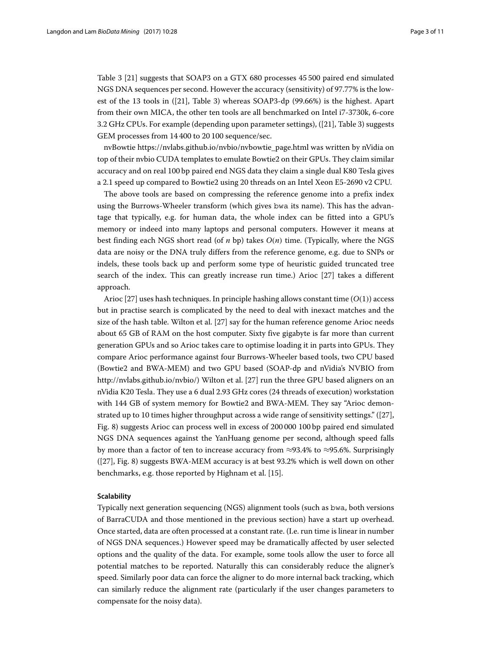Table 3 [\[21\]](#page-9-12) suggests that SOAP3 on a GTX 680 processes 45 500 paired end simulated NGS DNA sequences per second. However the accuracy (sensitivity) of 97.77% is the lowest of the 13 tools in ([\[21\]](#page-9-12), Table 3) whereas SOAP3-dp (99.66%) is the highest. Apart from their own MICA, the other ten tools are all benchmarked on Intel i7-3730k, 6-core 3.2 GHz CPUs. For example (depending upon parameter settings), ([\[21\]](#page-9-12), Table 3) suggests GEM processes from 14 400 to 20 100 sequence/sec.

nvBowtie [https://nvlabs.github.io/nvbio/nvbowtie\\_page.html](https://nvlabs.github.io/nvbio/nvbowtie_page.html) was written by nVidia on top of their nvbio CUDA templates to emulate Bowtie2 on their GPUs. They claim similar accuracy and on real 100 bp paired end NGS data they claim a single dual K80 Tesla gives a 2.1 speed up compared to Bowtie2 using 20 threads on an Intel Xeon E5-2690 v2 CPU.

The above tools are based on compressing the reference genome into a prefix index using the Burrows-Wheeler transform (which gives bwa its name). This has the advantage that typically, e.g. for human data, the whole index can be fitted into a GPU's memory or indeed into many laptops and personal computers. However it means at best finding each NGS short read (of *n* bp) takes *O*(*n*) time. (Typically, where the NGS data are noisy or the DNA truly differs from the reference genome, e.g. due to SNPs or indels, these tools back up and perform some type of heuristic guided truncated tree search of the index. This can greatly increase run time.) Arioc [\[27\]](#page-9-18) takes a different approach.

Arioc [\[27\]](#page-9-18) uses hash techniques. In principle hashing allows constant time (*O*(1)) access but in practise search is complicated by the need to deal with inexact matches and the size of the hash table. Wilton et al. [\[27\]](#page-9-18) say for the human reference genome Arioc needs about 65 GB of RAM on the host computer. Sixty five gigabyte is far more than current generation GPUs and so Arioc takes care to optimise loading it in parts into GPUs. They compare Arioc performance against four Burrows-Wheeler based tools, two CPU based (Bowtie2 and BWA-MEM) and two GPU based (SOAP-dp and nVidia's NVBIO from [http://nvlabs.github.io/nvbio/\)](http://nvlabs.github.io/nvbio/) Wilton et al. [\[27\]](#page-9-18) run the three GPU based aligners on an nVidia K20 Tesla. They use a 6 dual 2.93 GHz cores (24 threads of execution) workstation with 144 GB of system memory for Bowtie2 and BWA-MEM. They say "Arioc demonstrated up to 10 times higher throughput across a wide range of sensitivity settings." ([\[27\]](#page-9-18), Fig. 8) suggests Arioc can process well in excess of 200 000 100 bp paired end simulated NGS DNA sequences against the YanHuang genome per second, although speed falls by more than a factor of ten to increase accuracy from  $\approx$ 93.4% to  $\approx$ 95.6%. Surprisingly ([\[27\]](#page-9-18), Fig. 8) suggests BWA-MEM accuracy is at best 93.2% which is well down on other benchmarks, e.g. those reported by Highnam et al. [\[15\]](#page-9-6).

## <span id="page-2-0"></span>**Scalability**

Typically next generation sequencing (NGS) alignment tools (such as bwa, both versions of BarraCUDA and those mentioned in the previous section) have a start up overhead. Once started, data are often processed at a constant rate. (I.e. run time is linear in number of NGS DNA sequences.) However speed may be dramatically affected by user selected options and the quality of the data. For example, some tools allow the user to force all potential matches to be reported. Naturally this can considerably reduce the aligner's speed. Similarly poor data can force the aligner to do more internal back tracking, which can similarly reduce the alignment rate (particularly if the user changes parameters to compensate for the noisy data).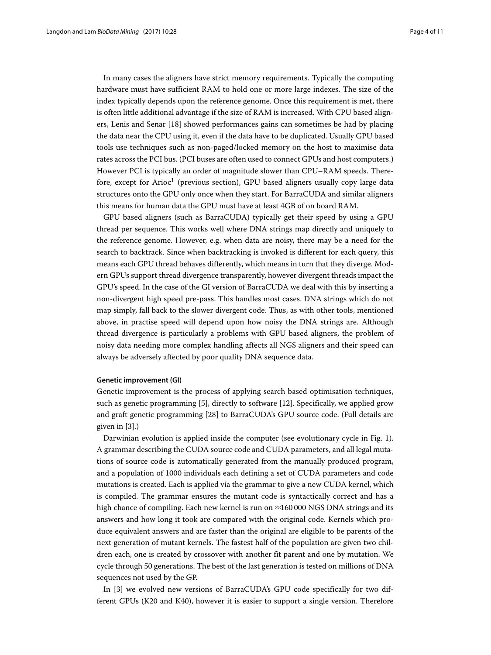In many cases the aligners have strict memory requirements. Typically the computing hardware must have sufficient RAM to hold one or more large indexes. The size of the index typically depends upon the reference genome. Once this requirement is met, there is often little additional advantage if the size of RAM is increased. With CPU based aligners, Lenis and Senar [\[18\]](#page-9-9) showed performances gains can sometimes be had by placing the data near the CPU using it, even if the data have to be duplicated. Usually GPU based tools use techniques such as non-paged/locked memory on the host to maximise data rates across the PCI bus. (PCI buses are often used to connect GPUs and host computers.) However PCI is typically an order of magnitude slower than CPU–RAM speeds. Therefore, except for Ario $c<sup>1</sup>$  (previous section), GPU based aligners usually copy large data structures onto the GPU only once when they start. For BarraCUDA and similar aligners this means for human data the GPU must have at least 4GB of on board RAM.

GPU based aligners (such as BarraCUDA) typically get their speed by using a GPU thread per sequence. This works well where DNA strings map directly and uniquely to the reference genome. However, e.g. when data are noisy, there may be a need for the search to backtrack. Since when backtracking is invoked is different for each query, this means each GPU thread behaves differently, which means in turn that they diverge. Modern GPUs support thread divergence transparently, however divergent threads impact the GPU's speed. In the case of the GI version of BarraCUDA we deal with this by inserting a non-divergent high speed pre-pass. This handles most cases. DNA strings which do not map simply, fall back to the slower divergent code. Thus, as with other tools, mentioned above, in practise speed will depend upon how noisy the DNA strings are. Although thread divergence is particularly a problems with GPU based aligners, the problem of noisy data needing more complex handling affects all NGS aligners and their speed can always be adversely affected by poor quality DNA sequence data.

#### <span id="page-3-0"></span>**Genetic improvement (GI)**

Genetic improvement is the process of applying search based optimisation techniques, such as genetic programming [\[5\]](#page-9-1), directly to software [\[12\]](#page-9-3). Specifically, we applied grow and graft genetic programming [\[28\]](#page-9-19) to BarraCUDA's GPU source code. (Full details are given in [\[3\]](#page-8-2).)

Darwinian evolution is applied inside the computer (see evolutionary cycle in Fig. [1\)](#page-4-1). A grammar describing the CUDA source code and CUDA parameters, and all legal mutations of source code is automatically generated from the manually produced program, and a population of 1000 individuals each defining a set of CUDA parameters and code mutations is created. Each is applied via the grammar to give a new CUDA kernel, which is compiled. The grammar ensures the mutant code is syntactically correct and has a high chance of compiling. Each new kernel is run on  $\approx$ 160 000 NGS DNA strings and its answers and how long it took are compared with the original code. Kernels which produce equivalent answers and are faster than the original are eligible to be parents of the next generation of mutant kernels. The fastest half of the population are given two children each, one is created by crossover with another fit parent and one by mutation. We cycle through 50 generations. The best of the last generation is tested on millions of DNA sequences not used by the GP.

In [\[3\]](#page-8-2) we evolved new versions of BarraCUDA's GPU code specifically for two different GPUs (K20 and K40), however it is easier to support a single version. Therefore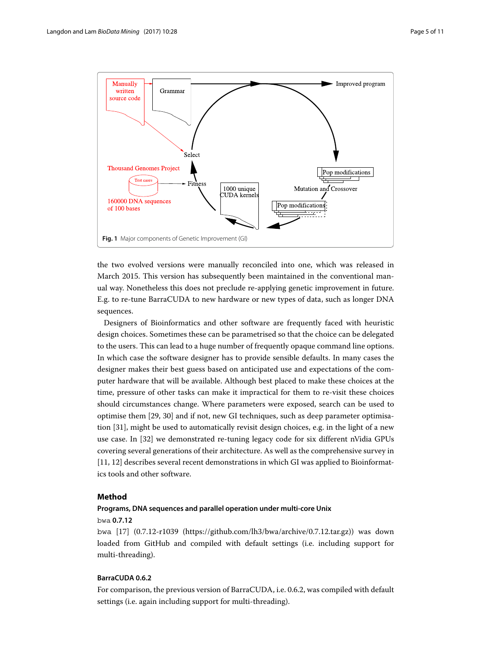

<span id="page-4-1"></span>the two evolved versions were manually reconciled into one, which was released in March 2015. This version has subsequently been maintained in the conventional manual way. Nonetheless this does not preclude re-applying genetic improvement in future. E.g. to re-tune BarraCUDA to new hardware or new types of data, such as longer DNA sequences.

Designers of Bioinformatics and other software are frequently faced with heuristic design choices. Sometimes these can be parametrised so that the choice can be delegated to the users. This can lead to a huge number of frequently opaque command line options. In which case the software designer has to provide sensible defaults. In many cases the designer makes their best guess based on anticipated use and expectations of the computer hardware that will be available. Although best placed to make these choices at the time, pressure of other tasks can make it impractical for them to re-visit these choices should circumstances change. Where parameters were exposed, search can be used to optimise them [\[29,](#page-9-20) [30\]](#page-9-21) and if not, new GI techniques, such as deep parameter optimisation [\[31\]](#page-9-22), might be used to automatically revisit design choices, e.g. in the light of a new use case. In [\[32\]](#page-10-1) we demonstrated re-tuning legacy code for six different nVidia GPUs covering several generations of their architecture. As well as the comprehensive survey in [\[11,](#page-9-23) [12\]](#page-9-3) describes several recent demonstrations in which GI was applied to Bioinformatics tools and other software.

## **Method**

#### <span id="page-4-0"></span>**Programs, DNA sequences and parallel operation under multi-core Unix**

## bwa **0.7.12**

bwa [\[17\]](#page-9-8) (0.7.12-r1039 [\(https://github.com/lh3/bwa/archive/0.7.12.tar.gz\)](https://github.com/lh3/bwa/archive/0.7.12.tar.gz)) was down loaded from GitHub and compiled with default settings (i.e. including support for multi-threading).

## **BarraCUDA 0.6.2**

For comparison, the previous version of BarraCUDA, i.e. 0.6.2, was compiled with default settings (i.e. again including support for multi-threading).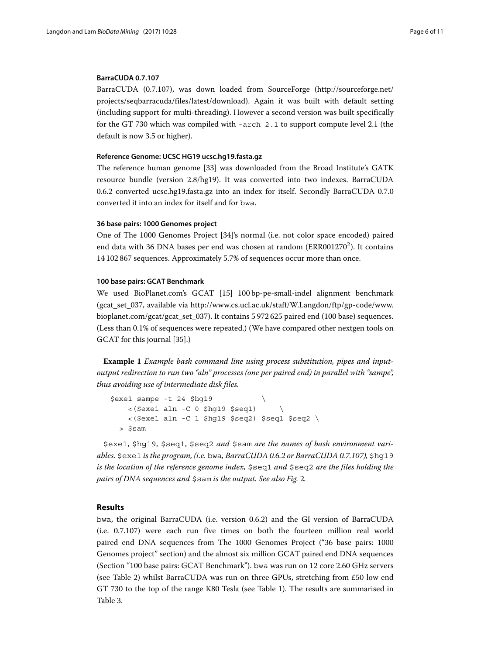## **BarraCUDA 0.7.107**

BarraCUDA (0.7.107), was down loaded from SourceForge [\(http://sourceforge.net/](http://sourceforge.net/projects/seqbarracuda/files/latest/download) [projects/seqbarracuda/files/latest/download\)](http://sourceforge.net/projects/seqbarracuda/files/latest/download). Again it was built with default setting (including support for multi-threading). However a second version was built specifically for the GT 730 which was compiled with -arch 2.1 to support compute level 2.1 (the default is now 3.5 or higher).

## **Reference Genome: UCSC HG19 ucsc.hg19.fasta.gz**

The reference human genome [\[33\]](#page-10-2) was downloaded from the Broad Institute's GATK resource bundle (version 2.8/hg19). It was converted into two indexes. BarraCUDA 0.6.2 converted ucsc.hg19.fasta.gz into an index for itself. Secondly BarraCUDA 0.7.0 converted it into an index for itself and for bwa.

## **36 base pairs: 1000 Genomes project**

<span id="page-5-1"></span>One of The 1000 Genomes Project [\[34\]](#page-10-3)'s normal (i.e. not color space encoded) paired end data with 36 DNA bases per end was chosen at random  $(ERR001270<sup>2</sup>)$ . It contains 14 102 867 sequences. Approximately 5.7% of sequences occur more than once.

#### <span id="page-5-2"></span>**100 base pairs: GCAT Benchmark**

We used BioPlanet.com's GCAT [\[15\]](#page-9-6) 100 bp-pe-small-indel alignment benchmark (gcat\_set\_037, available via [http://www.cs.ucl.ac.uk/staff/W.Langdon/ftp/gp-code/www.](http://www.cs.ucl.ac.uk/staff/W.Langdon/ftp/gp-code/www.bioplanet.com/gcat/gcat_set_037) [bioplanet.com/gcat/gcat\\_set\\_037\)](http://www.cs.ucl.ac.uk/staff/W.Langdon/ftp/gp-code/www.bioplanet.com/gcat/gcat_set_037). It contains 5 972 625 paired end (100 base) sequences. (Less than 0.1% of sequences were repeated.) (We have compared other nextgen tools on GCAT for this journal [\[35\]](#page-10-4).)

**Example 1** *Example bash command line using process substitution, pipes and inputoutput redirection to run two "aln" processes (one per paired end) in parallel with "sampe", thus avoiding use of intermediate disk files.*

```
$exe1 sampe -t 24 $hg19 \
  \langle ($exe1 aln -C 0 $hq19 $seq1) \langle\langle ($exe1 aln -C 1 $hg19 $seq2) $seq1 $seq2 \
> $sam
```
\$exe1, \$hg19, \$seq1, \$seq2 *and* \$sam *are the names of bash environment variables.* \$exe1 *is the program, (i.e.* bwa*, BarraCUDA 0.6.2 or BarraCUDA 0.7.107),* \$hg19 *is the location of the reference genome index,* \$seq1 *and* \$seq2 *are the files holding the pairs of DNA sequences and* \$sam *is the output. See also Fig.* [2](#page-6-0)*.*

## <span id="page-5-0"></span>**Results**

bwa, the original BarraCUDA (i.e. version 0.6.2) and the GI version of BarraCUDA (i.e. 0.7.107) were each run five times on both the fourteen million real world paired end DNA sequences from The 1000 Genomes Project (["36 base pairs: 1000](#page-5-1) [Genomes project"](#page-5-1) section) and the almost six million GCAT paired end DNA sequences (Section '['100 base pairs: GCAT Benchmark"](#page-5-2)). bwa was run on 12 core 2.60 GHz servers (see Table [2\)](#page-6-1) whilst BarraCUDA was run on three GPUs, stretching from £50 low end GT 730 to the top of the range K80 Tesla (see Table [1\)](#page-1-1). The results are summarised in Table [3.](#page-7-0)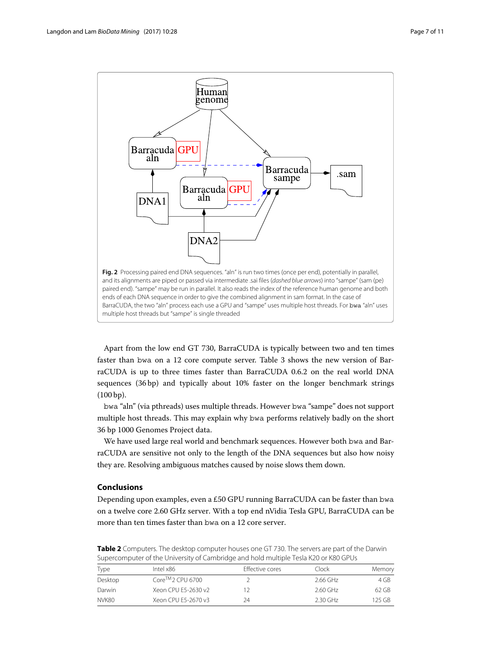

<span id="page-6-0"></span>Apart from the low end GT 730, BarraCUDA is typically between two and ten times faster than bwa on a 12 core compute server. Table [3](#page-7-0) shows the new version of BarraCUDA is up to three times faster than BarraCUDA 0.6.2 on the real world DNA sequences (36 bp) and typically about 10% faster on the longer benchmark strings (100 bp).

bwa "aln" (via pthreads) uses multiple threads. However bwa "sampe" does not support multiple host threads. This may explain why bwa performs relatively badly on the short 36 bp 1000 Genomes Project data.

We have used large real world and benchmark sequences. However both bwa and BarraCUDA are sensitive not only to the length of the DNA sequences but also how noisy they are. Resolving ambiguous matches caused by noise slows them down.

## **Conclusions**

Depending upon examples, even a £50 GPU running BarraCUDA can be faster than bwa on a twelve core 2.60 GHz server. With a top end nVidia Tesla GPU, BarraCUDA can be more than ten times faster than bwa on a 12 core server.

<span id="page-6-1"></span>**Table 2** Computers. The desktop computer houses one GT 730. The servers are part of the Darwin Supercomputer of the University of Cambridge and hold multiple Tesla K20 or K80 GPUs

| Intel x86              | Effective cores | Clock      | Memory   |
|------------------------|-----------------|------------|----------|
| $Core^{TM}$ 2 CPU 6700 |                 | $2.66$ GHz | $4$ GB   |
| Xeon CPU E5-2630 v2    |                 | $2.60$ GHz | 62 GB    |
| Xeon CPU E5-2670 v3    | 24              | $2.30$ GHz | $125$ GB |
|                        |                 |            |          |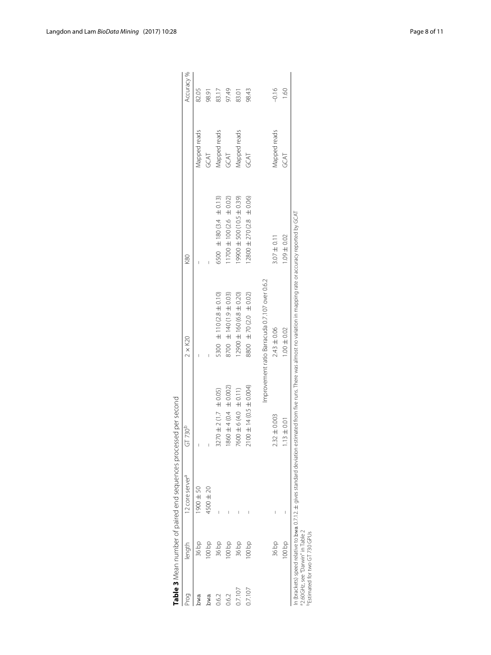<span id="page-7-0"></span>

| 97.49<br>$-0.16$<br>83.17<br>98.43<br>82.05<br>$\frac{8}{10}$<br>98.91<br>83.01<br>Mapped reads<br>Mapped reads<br>Mapped reads<br>Mapped reads<br>GCAT<br>GCAT<br>GCAT<br>GCAT<br>6500 $\pm$ 180 (3.4 $\pm$ 0.13)<br>$(1700 \pm 100 (2.6 \pm 0.02))$<br>$(65.0 \pm 500)$ (10.5 $\pm$ 0.39)<br>$12800 \pm 270$ (2.8 $\pm$ 0.06)<br>$1.09 \pm 0.02$<br>$3.07 \pm 0.11$<br>I<br>Improvement ratio Barracuda 0.7.107 over 0.6.2<br>$\pm$ 110 (2.8 $\pm$ 0.10)<br>$\pm 140(1.9 \pm 0.03)$<br>$12900 \pm 160 (6.8 \pm 0.20)$<br>8800 ± 70 (2.0 ± 0.02)<br>$2.43 \pm 0.06$<br>$1.00 \pm 0.02$<br>5300<br>8700<br>I<br>1860±4 (0.4 ± 0.002)<br>$2100 \pm 14(0.5 \pm 0.004)$<br>3270 ± 2 (1.7 ± 0.05)<br>7600 ± 6 (4.0 ± 0.11)<br>±0.003<br>$\pm 0.01$<br>232<br>Ê<br>$05 + 0061$<br>4500 ± 20<br>I<br>I<br>36 bp<br>36 bp<br>36 bp<br>100 bp<br>00 bp<br>00 bp<br>36 bp<br>00 <sub>bp</sub><br>0.7.107<br>0.7.107<br>0.6.2<br>0.6.2<br>bwa<br>bwa | Prog | length | 12 core server <sup>a</sup> | 730b<br>.<br>G | $2 \times K20$ | 80 | Accuracy % |
|--------------------------------------------------------------------------------------------------------------------------------------------------------------------------------------------------------------------------------------------------------------------------------------------------------------------------------------------------------------------------------------------------------------------------------------------------------------------------------------------------------------------------------------------------------------------------------------------------------------------------------------------------------------------------------------------------------------------------------------------------------------------------------------------------------------------------------------------------------------------------------------------------------------------------------------------|------|--------|-----------------------------|----------------|----------------|----|------------|
|                                                                                                                                                                                                                                                                                                                                                                                                                                                                                                                                                                                                                                                                                                                                                                                                                                                                                                                                            |      |        |                             |                |                |    |            |
|                                                                                                                                                                                                                                                                                                                                                                                                                                                                                                                                                                                                                                                                                                                                                                                                                                                                                                                                            |      |        |                             |                |                |    |            |
|                                                                                                                                                                                                                                                                                                                                                                                                                                                                                                                                                                                                                                                                                                                                                                                                                                                                                                                                            |      |        |                             |                |                |    |            |
|                                                                                                                                                                                                                                                                                                                                                                                                                                                                                                                                                                                                                                                                                                                                                                                                                                                                                                                                            |      |        |                             |                |                |    |            |
|                                                                                                                                                                                                                                                                                                                                                                                                                                                                                                                                                                                                                                                                                                                                                                                                                                                                                                                                            |      |        |                             |                |                |    |            |
|                                                                                                                                                                                                                                                                                                                                                                                                                                                                                                                                                                                                                                                                                                                                                                                                                                                                                                                                            |      |        |                             |                |                |    |            |
|                                                                                                                                                                                                                                                                                                                                                                                                                                                                                                                                                                                                                                                                                                                                                                                                                                                                                                                                            |      |        |                             |                |                |    |            |
|                                                                                                                                                                                                                                                                                                                                                                                                                                                                                                                                                                                                                                                                                                                                                                                                                                                                                                                                            |      |        |                             |                |                |    |            |
|                                                                                                                                                                                                                                                                                                                                                                                                                                                                                                                                                                                                                                                                                                                                                                                                                                                                                                                                            |      |        |                             |                |                |    |            |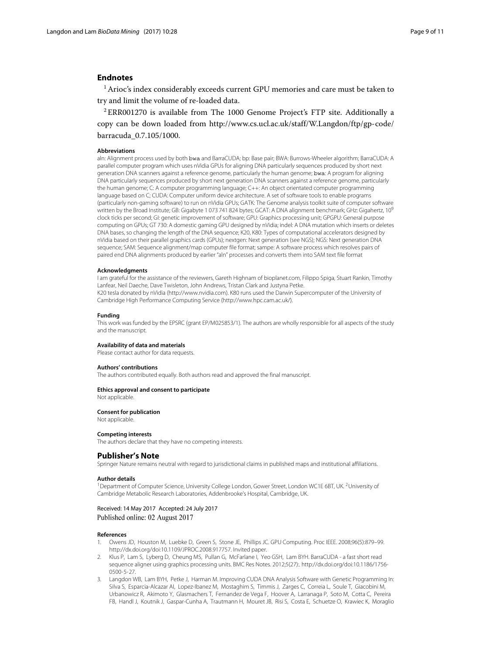## **Endnotes**

<sup>1</sup> Arioc's index considerably exceeds current GPU memories and care must be taken to try and limit the volume of re-loaded data.

<sup>2</sup> ERR001270 is available from The 1000 Genome Project's FTP site. Additionally a copy can be down loaded from [http://www.cs.ucl.ac.uk/staff/W.Langdon/ftp/gp-code/](http://www.cs.ucl.ac.uk/staff/W.Langdon/ftp/gp-code/barracuda_0.7.105/1000) [barracuda\\_0.7.105/1000.](http://www.cs.ucl.ac.uk/staff/W.Langdon/ftp/gp-code/barracuda_0.7.105/1000)

#### **Abbreviations**

aln: Alignment process used by both bwa and BarraCUDA; bp: Base pair; BWA: Burrows-Wheeler algorithm; BarraCUDA: A parallel computer program which uses nVidia GPUs for aligning DNA particularly sequences produced by short next generation DNA scanners against a reference genome, particularly the human genome; bwa: A program for aligning DNA particularly sequences produced by short next generation DNA scanners against a reference genome, particularly the human genome; C: A computer programming language; C++: An object orientated computer programming language based on C; CUDA: Computer uniform device architecture. A set of software tools to enable programs (particularly non-gaming software) to run on nVidia GPUs; GATK: The Genome analysis toolkit suite of computer software written by the Broad Institute; GB: Gigabyte 1 073 741 824 bytes; GCAT: A DNA alignment benchmark; GHz: Gigahertz, 10<sup>9</sup> clock ticks per second; GI: genetic improvement of software; GPU: Graphics processing unit; GPGPU: General purpose computing on GPUs; GT 730: A domestic gaming GPU designed by nVidia; indel: A DNA mutation which inserts or deletes DNA bases, so changing the length of the DNA sequence; K20, K80: Types of computational accelerators designed by nVidia based on their parallel graphics cards (GPUs); nextgen: Next generation (see NGS); NGS: Next generation DNA sequence; SAM: Sequence alignment/map computer file format; sampe: A software process which resolves pairs of paired end DNA alignments produced by earlier "aln" processes and converts them into SAM text file format

#### **Acknowledgments**

I am grateful for the assistance of the reviewers, Gareth Highnam of bioplanet.com, Filippo Spiga, Stuart Rankin, Timothy Lanfear, Neil Daeche, Dave Twisleton, John Andrews, Tristan Clark and Justyna Petke. K20 tesla donated by nVidia [\(http://www.nvidia.com\)](http://www.nvidia.com). K80 runs used the Darwin Supercomputer of the University of Cambridge High Performance Computing Service [\(http://www.hpc.cam.ac.uk/\)](http://www.hpc.cam.ac.uk/).

#### **Funding**

This work was funded by the EPSRC (grant EP/M025853/1). The authors are wholly responsible for all aspects of the study and the manuscript.

#### **Availability of data and materials**

Please contact author for data requests.

#### **Authors' contributions**

The authors contributed equally. Both authors read and approved the final manuscript.

#### **Ethics approval and consent to participate**

Not applicable.

#### **Consent for publication**

Not applicable.

#### **Competing interests**

The authors declare that they have no competing interests.

#### **Publisher's Note**

Springer Nature remains neutral with regard to jurisdictional claims in published maps and institutional affiliations.

#### **Author details**

<sup>1</sup> Department of Computer Science, University College London, Gower Street, London WC1E 6BT, UK. <sup>2</sup>University of Cambridge Metabolic Research Laboratories, Addenbrooke's Hospital, Cambridge, UK.

#### Received: 14 May 2017 Accepted: 24 July 2017 Published online: 02 August 2017

#### **References**

- <span id="page-8-0"></span>1. Owens JD, Houston M, Luebke D, Green S, Stone JE, Phillips JC. GPU Computing. Proc IEEE. 2008;96(5):879–99. [http://dx.doi.org/doi:10.1109/JPROC.2008.917757.](http://dx.doi.org/doi:10.1109/JPROC.2008.917757) Invited paper.
- <span id="page-8-1"></span>2. Klus P, Lam S, Lyberg D, Cheung MS, Pullan G, McFarlane I, Yeo GSH, Lam BYH. BarraCUDA - a fast short read sequence aligner using graphics processing units. BMC Res Notes. 2012;5(27):. [http://dx.doi.org/doi:10.1186/1756-](http://dx.doi.org/doi:10.1186/1756-0500-5-27) [0500-5-27.](http://dx.doi.org/doi:10.1186/1756-0500-5-27)
- <span id="page-8-2"></span>3. Langdon WB, Lam BYH, Petke J, Harman M. Improving CUDA DNA Analysis Software with Genetic Programming In: Silva S, Esparcia-Alcazar AI, Lopez-Ibanez M, Mostaghim S, Timmis J, Zarges C, Correia L, Soule T, Giacobini M, Urbanowicz R, Akimoto Y, Glasmachers T, Fernandez de Vega F, Hoover A, Larranaga P, Soto M, Cotta C, Pereira FB, Handl J, Koutnik J, Gaspar-Cunha A, Trautmann H, Mouret JB, Risi S, Costa E, Schuetze O, Krawiec K, Moraglio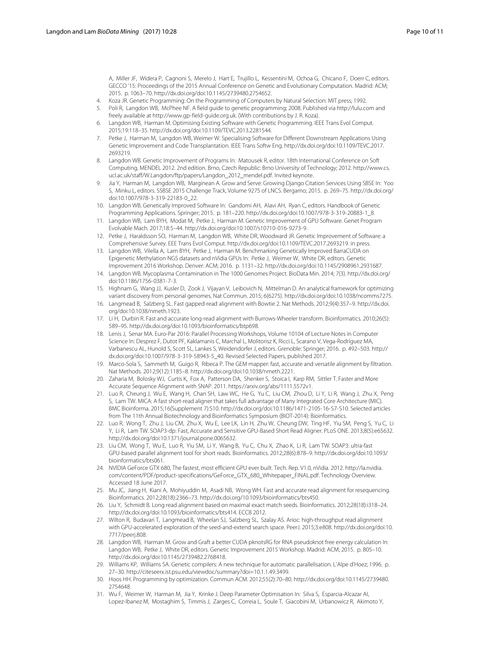A, Miller JF, Widera P, Cagnoni S, Merelo J, Hart E, Trujillo L, Kessentini M, Ochoa G, Chicano F, Doerr C, editors. GECCO '15: Proceedings of the 2015 Annual Conference on Genetic and Evolutionary Computation. Madrid: ACM; 2015. p. 1063–70. [http://dx.doi.org/doi:10.1145/2739480.2754652.](http://dx.doi.org/doi:10.1145/2739480.2754652)

- <span id="page-9-0"></span>4. Koza JR. Genetic Programming: On the Programming of Computers by Natural Selection: MIT press; 1992.
- <span id="page-9-1"></span>5. Poli R, Langdon WB, McPhee NF. A field guide to genetic programming; 2008. Published via<http://lulu.com> and freely available at [http://www.gp-field-guide.org.uk.](http://www.gp-field-guide.org.uk) (With contributions by J. R. Koza).
- <span id="page-9-2"></span>6. Langdon WB, Harman M. Optimising Existing Software with Genetic Programming. IEEE Trans Evol Comput. 2015;19:118–35. [http://dx.doi.org/doi:10.1109/TEVC.2013.2281544.](http://dx.doi.org/doi:10.1109/TEVC.2013.2281544)
- 7. Petke J, Harman M, Langdon WB, Weimer W. Specialising Software for Different Downstream Applications Using Genetic Improvement and Code Transplantation. IEEE Trans Softw Eng. [http://dx.doi.org/doi:10.1109/TEVC.2017.](http://dx.doi.org/doi:10.1109/TEVC.2017.2693219) [2693219.](http://dx.doi.org/doi:10.1109/TEVC.2017.2693219)
- 8. Langdon WB. Genetic Improvement of Programs In: Matousek R, editor. 18th International Conference on Soft Computing, MENDEL 2012. 2nd edition. Brno, Czech Republic: Brno University of Technology; 2012. [http://www.cs.](http://www.cs.ucl.ac.uk/staff/W.Langdon/ftp/papers/Langdon_2012_mendel.pdf) [ucl.ac.uk/staff/W.Langdon/ftp/papers/Langdon\\_2012\\_mendel.pdf.](http://www.cs.ucl.ac.uk/staff/W.Langdon/ftp/papers/Langdon_2012_mendel.pdf) Invited keynote.
- 9. Jia Y, Harman M, Langdon WB, Marginean A. Grow and Serve: Growing Django Citation Services Using SBSE In: Yoo S, Minku L, editors. SSBSE 2015 Challenge Track, Volume 9275 of LNCS. Bergamo; 2015. p. 269–75. [http://dx.doi.org/](http://dx.doi.org/doi:10.1007/978-3-319-22183-0_22) [doi:10.1007/978-3-319-22183-0\\_22.](http://dx.doi.org/doi:10.1007/978-3-319-22183-0_22)
- 10. Langdon WB. Genetically Improved Software In: Gandomi AH, Alavi AH, Ryan C, editors. Handbook of Genetic Programming Applications. Springer; 2015. p. 181–220. [http://dx.doi.org/doi:10.1007/978-3-319-20883-1\\_8.](http://dx.doi.org/doi:10.1007/978-3-319-20883-1_8)
- <span id="page-9-23"></span>11. Langdon WB, Lam BYH, Modat M, Petke J, Harman M. Genetic Improvement of GPU Software. Genet Program Evolvable Mach. 2017;18:5–44. [http://dx.doi.org/doi:10.1007/s10710-016-9273-9.](http://dx.doi.org/doi:10.1007/s10710-016-9273-9)
- <span id="page-9-3"></span>12. Petke J, Haraldsson SO, Harman M, Langdon WB, White DR, Woodward JR. Genetic Improvement of Software: a Comprehensive Survey. EEE Trans Evol Comput. [http://dx.doi.org/doi:10.1109/TEVC.2017.2693219.](http://dx.doi.org/doi:10.1109/TEVC.2017.2693219) in press.
- <span id="page-9-4"></span>13. Langdon WB, Vilella A, Lam BYH, Petke J, Harman M. Benchmarking Genetically Improved BarraCUDA on Epigenetic Methylation NGS datasets and nVidia GPUs In: Petke J, Weimer W, White DR, editors. Genetic Improvement 2016 Workshop. Denver: ACM; 2016. p. 1131–32. [http://dx.doi.org/doi:10.1145/2908961.2931687.](http://dx.doi.org/doi:10.1145/2908961.2931687)
- <span id="page-9-5"></span>14. Langdon WB. Mycoplasma Contamination in The 1000 Genomes Project. BioData Min. 2014; 7(3). [http://dx.doi.org/](http://dx.doi.org/doi:10.1186/1756-0381-7-3) [doi:10.1186/1756-0381-7-3.](http://dx.doi.org/doi:10.1186/1756-0381-7-3)
- <span id="page-9-6"></span>15. Highnam G, Wang JJ, Kusler D, Zook J, Vijayan V, Leibovich N, Mittelman D. An analytical framework for optimizing variant discovery from personal genomes. Nat Commun. 2015; 6(6275). [http://dx.doi.org/doi:10.1038/ncomms7275.](http://dx.doi.org/doi:10.1038/ncomms7275)
- <span id="page-9-7"></span>16. Langmead B, Salzberg SL. Fast gapped-read alignment with Bowtie 2. Nat Methods. 2012;9(4):357–9. [http://dx.doi.](http://dx.doi.org/doi:10.1038/nmeth.1923) [org/doi:10.1038/nmeth.1923.](http://dx.doi.org/doi:10.1038/nmeth.1923)
- <span id="page-9-8"></span>17. Li H, Durbin R. Fast and accurate long-read alignment with Burrows-Wheeler transform. Bioinformatics. 2010;26(5): 589–95. [http://dx.doi.org/doi:10.1093/bioinformatics/btp698.](http://dx.doi.org/doi:10.1093/bioinformatics/btp698)
- <span id="page-9-9"></span>18. Lenis J, Senar MA. Euro-Par 2016: Parallel Processing Workshops, Volume 10104 of Lecture Notes in Computer Science In: Desprez F, Dutot PF, Kaklamanis C, Marchal L, Molitorisz K, Ricci L, Scarano V, Vega-Rodríguez MA, Varbanescu AL, Hunold S, Scott SL, Lankes S, Weidendorfer J, editors. Grenoble: Springer; 2016. p. 492–503. [http://](http://dx.doi.org/doi:10.1007/978-3-319-58943-5_40) [dx.doi.org/doi:10.1007/978-3-319-58943-5\\_40.](http://dx.doi.org/doi:10.1007/978-3-319-58943-5_40) Revised Selected Papers, published 2017.
- <span id="page-9-10"></span>19. Marco-Sola S, Sammeth M, Guigo R, Ribeca P. The GEM mapper: fast, accurate and versatile alignment by filtration. Nat Methods. 2012;9(12):1185–8. [http://dx.doi.org/doi:10.1038/nmeth.2221.](http://dx.doi.org/doi:10.1038/nmeth.2221)
- <span id="page-9-11"></span>20. Zaharia M, Bolosky WJ, Curtis K, Fox A, Patterson DA, Shenker S, Stoica I, Karp RM, Sittler T. Faster and More Accurate Sequence Alignment with SNAP. 2011. [https://arxiv.org/abs/1111.5572v1.](https://arxiv.org/abs/1111.5572v1)
- <span id="page-9-12"></span>21. Luo R, Cheung J, Wu E, Wang H, Chan SH, Law WC, He G, Yu C, Liu CM, Zhou D, Li Y, Li R, Wang J, Zhu X, Peng S, Lam TW. MICA: A fast short-read aligner that takes full advantage of Many Integrated Core Architecture (MIC). BMC Bioinforma. 2015;16(Supplement 7):S10. [http://dx.doi.org/doi:10.1186/1471-2105-16-S7-S10.](http://dx.doi.org/doi:10.1186/1471-2105-16-S7-S10) Selected articles from The 11th Annual Biotechnology and Bioinformatics Symposium (BIOT-2014): Bioinformatics.
- <span id="page-9-13"></span>22. Luo R, Wong T, Zhu J, Liu CM, Zhu X, Wu E, Lee LK, Lin H, Zhu W, Cheung DW, Ting HF, Yiu SM, Peng S, Yu C, Li Y, Li R, Lam TW. SOAP3-dp: Fast, Accurate and Sensitive GPU-Based Short Read Aligner. PLoS ONE. 2013;8(5):e65632. [http://dx.doi.org/doi:10.1371/journal.pone.0065632.](http://dx.doi.org/doi:10.1371/journal.pone.0065632)
- <span id="page-9-14"></span>23. Liu CM, Wong T, Wu E, Luo R, Yiu SM, Li Y, Wang B, Yu C, Chu X, Zhao K, Li R, Lam TW. SOAP3: ultra-fast GPU-based parallel alignment tool for short reads. Bioinformatics. 2012;28(6):878–9. [http://dx.doi.org/doi:10.1093/](http://dx.doi.org/doi:10.1093/bioinformatics/bts061) [bioinformatics/bts061.](http://dx.doi.org/doi:10.1093/bioinformatics/bts061)
- <span id="page-9-15"></span>24. NVIDIA GeForce GTX 680, The fastest, most efficient GPU ever built. Tech. Rep. V1.0, nVidia. 2012. [http://la.nvidia.](http://la.nvidia.com/content/PDF/product-specifications/GeForce_GTX_680_Whitepaper_FINAL.pdf) [com/content/PDF/product-specifications/GeForce\\_GTX\\_680\\_Whitepaper\\_FINAL.pdf.](http://la.nvidia.com/content/PDF/product-specifications/GeForce_GTX_680_Whitepaper_FINAL.pdf) Technology Overview. Accessed 18 June 2017.
- <span id="page-9-16"></span>25. Mu JC, Jiang H, Kiani A, Mohiyuddin M, Asadi NB, Wong WH. Fast and accurate read alignment for resequencing. Bioinformatics. 2012;28(18):2366–73. [http://dx.doi.org/10.1093/bioinformatics/bts450.](http://dx.doi.org/10.1093/bioinformatics/bts450)
- <span id="page-9-17"></span>26. Liu Y, Schmidt B. Long read alignment based on maximal exact match seeds. Bioinformatics. 2012;28(18):i318–24. [http://dx.doi.org/doi:10.1093/bioinformatics/bts414.](http://dx.doi.org/doi:10.1093/bioinformatics/bts414) ECCB 2012.
- <span id="page-9-18"></span>27. Wilton R, Budavari T, Langmead B, Wheelan SJ, Salzberg SL, Szalay AS. Arioc: high-throughput read alignment with GPU-accelerated exploration of the seed-and-extend search space. PeerJ. 2015;3:e808. [http://dx.doi.org/doi:10.](http://dx.doi.org/doi:10.7717/peerj.808) [7717/peerj.808.](http://dx.doi.org/doi:10.7717/peerj.808)
- <span id="page-9-19"></span>28. Langdon WB, Harman M. Grow and Graft a better CUDA pknotsRG for RNA pseudoknot free energy calculation In: Langdon WB, Petke J, White DR, editors. Genetic Improvement 2015 Workshop. Madrid: ACM; 2015. p. 805–10. [http://dx.doi.org/doi:10.1145/2739482.2768418.](http://dx.doi.org/doi:10.1145/2739482.2768418)
- <span id="page-9-20"></span>29. Williams KP, Williams SA. Genetic compilers: A new technique for automatic parallelisation. L'Alpe d'Hoez; 1996. p. 27–30. [http://citeseerx.ist.psu.edu/viewdoc/summary?doi=10.1.1.49.3499.](http://citeseerx.ist.psu.edu/viewdoc/summary?doi=10.1.1.49.3499)
- <span id="page-9-21"></span>30. Hoos HH. Programming by optimization. Commun ACM. 2012;55(2):70–80. [http://dx.doi.org/doi:10.1145/2739480.](http://dx.doi.org/doi:10.1145/2739480.2754648) [2754648.](http://dx.doi.org/doi:10.1145/2739480.2754648)
- <span id="page-9-22"></span>31. Wu F, Weimer W, Harman M, Jia Y, Krinke J. Deep Parameter Optimisation In: Silva S, Esparcia-Alcazar AI, Lopez-Ibanez M, Mostaghim S, Timmis J, Zarges C, Correia L, Soule T, Giacobini M, Urbanowicz R, Akimoto Y,